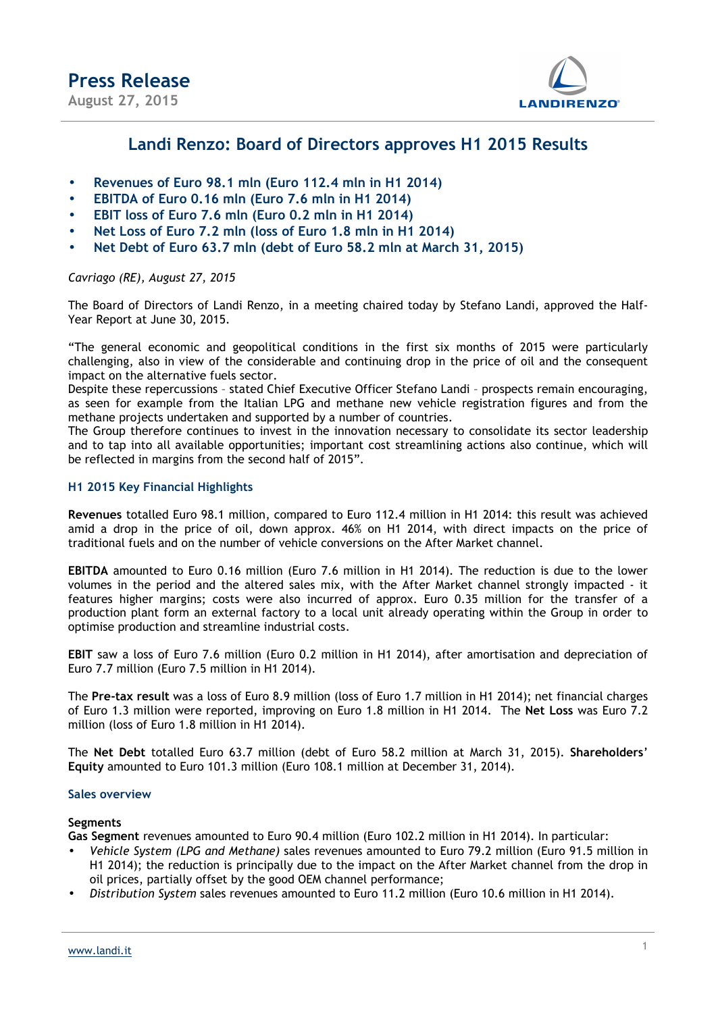

### **Landi Renzo: Board of Directors approves H1 2015 Results**

- **Revenues of Euro 98.1 mln (Euro 112.4 mln in H1 2014)**
- **EBITDA of Euro 0.16 mln (Euro 7.6 mln in H1 2014)**
- **EBIT loss of Euro 7.6 mln (Euro 0.2 mln in H1 2014)**
- **Net Loss of Euro 7.2 mln (loss of Euro 1.8 mln in H1 2014)**
- **Net Debt of Euro 63.7 mln (debt of Euro 58.2 mln at March 31, 2015)**

*Cavriago (RE), August 27, 2015*

The Board of Directors of Landi Renzo, in a meeting chaired today by Stefano Landi, approved the Half-Year Report at June 30, 2015.

"The general economic and geopolitical conditions in the first six months of 2015 were particularly challenging, also in view of the considerable and continuing drop in the price of oil and the consequent impact on the alternative fuels sector.

Despite these repercussions - stated Chief Executive Officer Stefano Landi - prospects remain encouraging, as seen for example from the Italian LPG and methane new vehicle registration figures and from the methane projects undertaken and supported by a number of countries.

The Group therefore continues to invest in the innovation necessary to consolidate its sector leadership and to tap into all available opportunities; important cost streamlining actions also continue, which will be reflected in margins from the second half of 2015".

#### **H1 2015 Key Financial Highlights**

**Revenues** totalled Euro 98.1 million, compared to Euro 112.4 million in H1 2014: this result was achieved amid a drop in the price of oil, down approx. 46% on H1 2014, with direct impacts on the price of traditional fuels and on the number of vehicle conversions on the After Market channel.

**EBITDA** amounted to Euro 0.16 million (Euro 7.6 million in H1 2014). The reduction is due to the lower volumes in the period and the altered sales mix, with the After Market channel strongly impacted - it features higher margins; costs were also incurred of approx. Euro 0.35 million for the transfer of a production plant form an external factory to a local unit already operating within the Group in order to optimise production and streamline industrial costs.

**EBIT** saw a loss of Euro 7.6 million (Euro 0.2 million in H1 2014), after amortisation and depreciation of Euro 7.7 million (Euro 7.5 million in H1 2014).

The **Pre-tax result** was a loss of Euro 8.9 million (loss of Euro 1.7 million in H1 2014); net financial charges of Euro 1.3 million were reported, improving on Euro 1.8 million in H1 2014. The **Net Loss** was Euro 7.2 million (loss of Euro 1.8 million in H1 2014).

The **Net Debt** totalled Euro 63.7 million (debt of Euro 58.2 million at March 31, 2015). **Shareholders**' **Equity** amounted to Euro 101.3 million (Euro 108.1 million at December 31, 2014).

#### **Sales overview**

#### **Segments**

**Gas Segment** revenues amounted to Euro 90.4 million (Euro 102.2 million in H1 2014). In particular:

- *Vehicle System (LPG and Methane)* sales revenues amounted to Euro 79.2 million (Euro 91.5 million in H1 2014); the reduction is principally due to the impact on the After Market channel from the drop in oil prices, partially offset by the good OEM channel performance;
- *Distribution System* sales revenues amounted to Euro 11.2 million (Euro 10.6 million in H1 2014).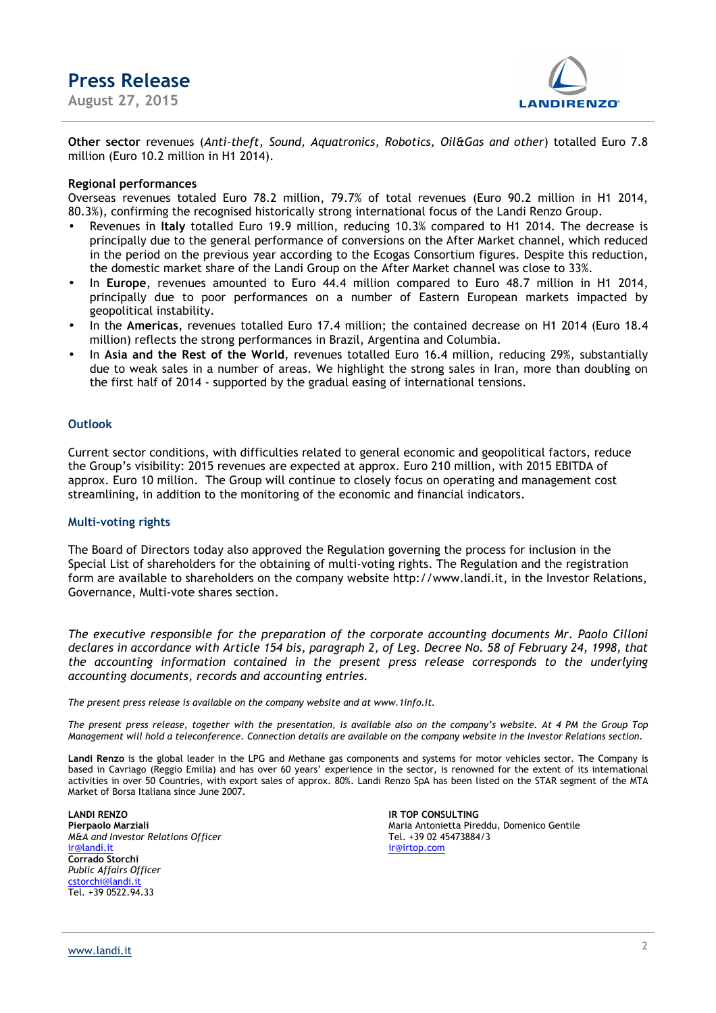### **Press Release August 27, 2015**



**Other sector** revenues (*Anti-theft, Sound, Aquatronics, Robotics, Oil&Gas and other*) totalled Euro 7.8 million (Euro 10.2 million in H1 2014).

#### **Regional performances**

Overseas revenues totaled Euro 78.2 million, 79.7% of total revenues (Euro 90.2 million in H1 2014, 80.3%), confirming the recognised historically strong international focus of the Landi Renzo Group.

- Revenues in **Italy** totalled Euro 19.9 million, reducing 10.3% compared to H1 2014. The decrease is principally due to the general performance of conversions on the After Market channel, which reduced in the period on the previous year according to the Ecogas Consortium figures. Despite this reduction, the domestic market share of the Landi Group on the After Market channel was close to 33%.
- In **Europe**, revenues amounted to Euro 44.4 million compared to Euro 48.7 million in H1 2014, principally due to poor performances on a number of Eastern European markets impacted by geopolitical instability.
- In the **Americas**, revenues totalled Euro 17.4 million; the contained decrease on H1 2014 (Euro 18.4 million) reflects the strong performances in Brazil, Argentina and Columbia.
- In **Asia and the Rest of the World**, revenues totalled Euro 16.4 million, reducing 29%, substantially due to weak sales in a number of areas. We highlight the strong sales in Iran, more than doubling on the first half of 2014 - supported by the gradual easing of international tensions.

#### **Outlook**

Current sector conditions, with difficulties related to general economic and geopolitical factors, reduce the Group's visibility: 2015 revenues are expected at approx. Euro 210 million, with 2015 EBITDA of approx. Euro 10 million. The Group will continue to closely focus on operating and management cost streamlining, in addition to the monitoring of the economic and financial indicators.

#### **Multi-voting rights**

The Board of Directors today also approved the Regulation governing the process for inclusion in the Special List of shareholders for the obtaining of multi-voting rights. The Regulation and the registration form are available to shareholders on the company website http://www.landi.it, in the Investor Relations, Governance, Multi-vote shares section.

*The executive responsible for the preparation of the corporate accounting documents Mr. Paolo Cilloni declares in accordance with Article 154 bis, paragraph 2, of Leg. Decree No. 58 of February 24, 1998, that the accounting information contained in the present press release corresponds to the underlying accounting documents, records and accounting entries.* 

*The present press release is available on the company website and at www.1info.it.* 

*The present press release, together with the presentation, is available also on the company's website. At 4 PM the Group Top Management will hold a teleconference. Connection details are available on the company website in the Investor Relations section.* 

**Landi Renzo** is the global leader in the LPG and Methane gas components and systems for motor vehicles sector. The Company is based in Cavriago (Reggio Emilia) and has over 60 years' experience in the sector, is renowned for the extent of its international activities in over 50 Countries, with export sales of approx. 80%. Landi Renzo SpA has been listed on the STAR segment of the MTA Market of Borsa Italiana since June 2007.

**LANDI RENZO IR TOP CONSULTING** *M&A and Investor Relations Officer* ir@landi.it **Corrado Storchi** *Public Affairs Officer* cstorchi@landi.it Tel. +39 0522.94.33

Maria Antonietta Pireddu, Domenico Gentile<br>Tel. +39 02 45473884/3 ir@irtop.com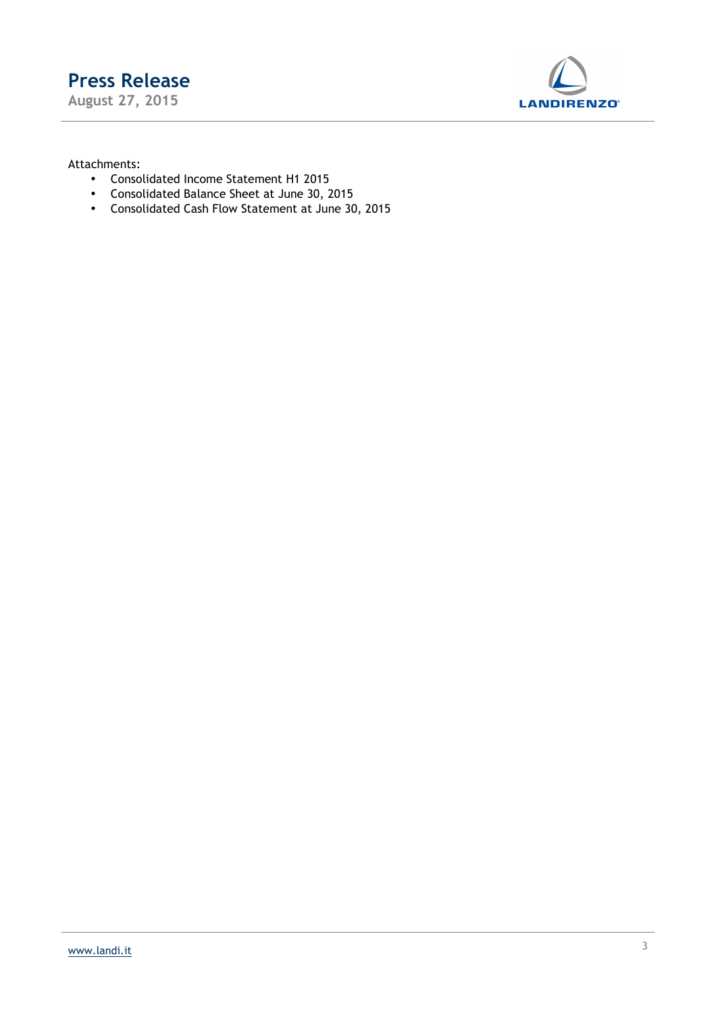**August 27, 2015** 



#### Attachments:

- Consolidated Income Statement H1 2015
- Consolidated Balance Sheet at June 30, 2015
- Consolidated Cash Flow Statement at June 30, 2015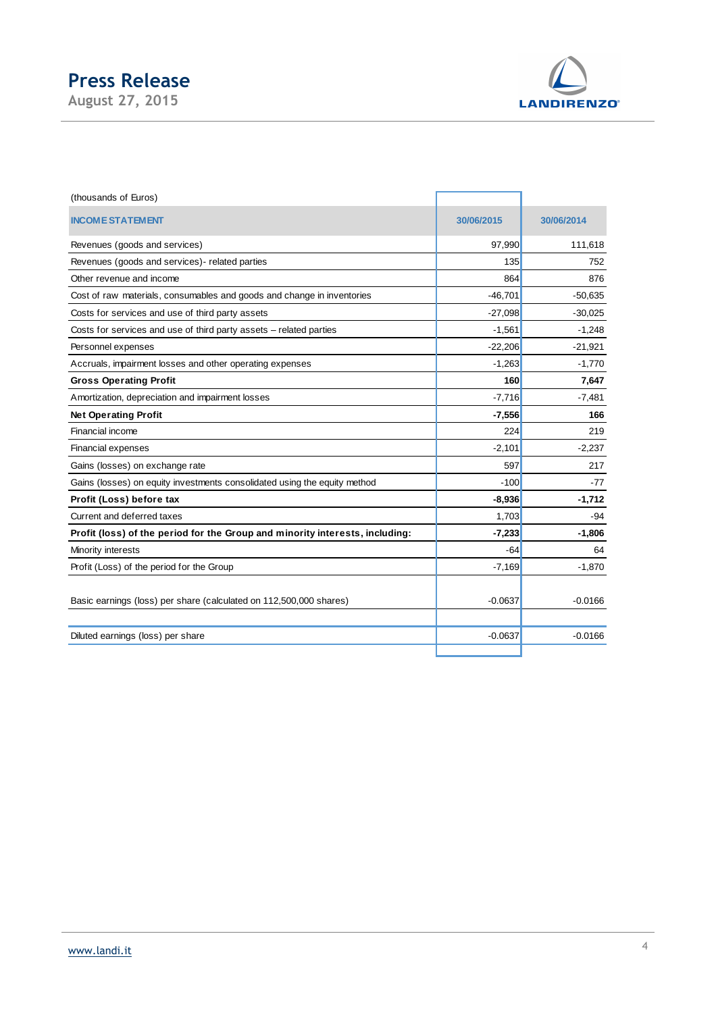**August 27, 2015** 



| (thousands of Euros)                                                         |            |            |
|------------------------------------------------------------------------------|------------|------------|
| <b>INCOME STATEMENT</b>                                                      | 30/06/2015 | 30/06/2014 |
| Revenues (goods and services)                                                | 97,990     | 111,618    |
| Revenues (goods and services)- related parties                               | 135        | 752        |
| Other revenue and income                                                     | 864        | 876        |
| Cost of raw materials, consumables and goods and change in inventories       | $-46,701$  | $-50,635$  |
| Costs for services and use of third party assets                             | $-27,098$  | $-30,025$  |
| Costs for services and use of third party assets - related parties           | $-1,561$   | $-1,248$   |
| Personnel expenses                                                           | $-22,206$  | $-21,921$  |
| Accruals, impairment losses and other operating expenses                     | $-1,263$   | $-1,770$   |
| <b>Gross Operating Profit</b>                                                | 160        | 7,647      |
| Amortization, depreciation and impairment losses                             | $-7,716$   | $-7,481$   |
| <b>Net Operating Profit</b>                                                  | $-7,556$   | 166        |
| Financial income                                                             | 224        | 219        |
| Financial expenses                                                           | $-2,101$   | $-2,237$   |
| Gains (losses) on exchange rate                                              | 597        | 217        |
| Gains (losses) on equity investments consolidated using the equity method    | $-100$     | $-77$      |
| Profit (Loss) before tax                                                     | $-8,936$   | $-1,712$   |
| Current and deferred taxes                                                   | 1,703      | -94        |
| Profit (loss) of the period for the Group and minority interests, including: | $-7,233$   | $-1,806$   |
| Minority interests                                                           | $-64$      | 64         |
| Profit (Loss) of the period for the Group                                    | $-7,169$   | $-1,870$   |
|                                                                              |            |            |
| Basic earnings (loss) per share (calculated on 112,500,000 shares)           | $-0.0637$  | $-0.0166$  |
|                                                                              |            |            |
| Diluted earnings (loss) per share                                            | $-0.0637$  | $-0.0166$  |
|                                                                              |            |            |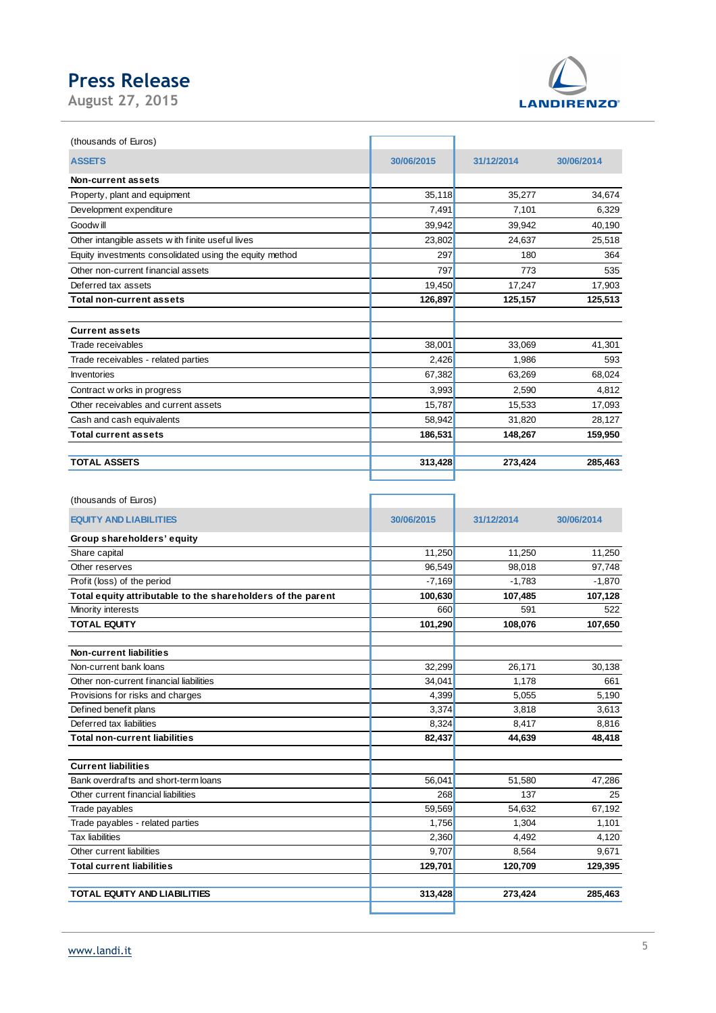**August 27, 2015** 



| (thousands of Euros)                                    |            |            |            |
|---------------------------------------------------------|------------|------------|------------|
| <b>ASSETS</b>                                           | 30/06/2015 | 31/12/2014 | 30/06/2014 |
| Non-current assets                                      |            |            |            |
| Property, plant and equipment                           | 35,118     | 35,277     | 34,674     |
| Development expenditure                                 | 7,491      | 7,101      | 6,329      |
| Goodw ill                                               | 39,942     | 39,942     | 40,190     |
| Other intangible assets with finite useful lives        | 23,802     | 24,637     | 25,518     |
| Equity investments consolidated using the equity method | 297        | 180        | 364        |
| Other non-current financial assets                      | 797        | 773        | 535        |
| Deferred tax assets                                     | 19,450     | 17,247     | 17,903     |
| <b>Total non-current assets</b>                         | 126,897    | 125,157    | 125,513    |
| <b>Current assets</b>                                   |            |            |            |
| Trade receivables                                       | 38,001     | 33,069     | 41,301     |
| Trade receivables - related parties                     | 2,426      | 1,986      | 593        |
| <b>Inventories</b>                                      | 67,382     | 63,269     | 68,024     |
| Contract w orks in progress                             | 3,993      | 2,590      | 4,812      |
| Other receivables and current assets                    | 15,787     | 15,533     | 17,093     |
| Cash and cash equivalents                               | 58,942     | 31,820     | 28,127     |
| <b>Total current assets</b>                             | 186,531    | 148,267    | 159,950    |
| <b>TOTAL ASSETS</b>                                     | 313,428    | 273,424    | 285,463    |
|                                                         |            |            |            |

Г

٦

(thousands of Euros)

| <b>EQUITY AND LIABILITIES</b>                               | 30/06/2015 | 31/12/2014 | 30/06/2014 |
|-------------------------------------------------------------|------------|------------|------------|
| Group shareholders' equity                                  |            |            |            |
| Share capital                                               | 11,250     | 11.250     | 11,250     |
| Other reserves                                              | 96,549     | 98,018     | 97,748     |
| Profit (loss) of the period                                 | $-7,169$   | $-1,783$   | $-1,870$   |
| Total equity attributable to the shareholders of the parent | 100,630    | 107,485    | 107,128    |
| Minority interests                                          | 660        | 591        | 522        |
| <b>TOTAL EQUITY</b>                                         | 101,290    | 108,076    | 107,650    |
| <b>Non-current liabilities</b>                              |            |            |            |
| Non-current bank loans                                      | 32,299     | 26,171     | 30,138     |
| Other non-current financial liabilities                     | 34,041     | 1,178      | 661        |
| Provisions for risks and charges                            | 4,399      | 5,055      | 5.190      |
| Defined benefit plans                                       | 3,374      | 3,818      | 3,613      |
| Deferred tax liabilities                                    | 8,324      | 8,417      | 8,816      |
| <b>Total non-current liabilities</b>                        | 82,437     | 44,639     | 48,418     |
| <b>Current liabilities</b>                                  |            |            |            |
| Bank overdrafts and short-term loans                        | 56,041     | 51,580     | 47,286     |
| Other current financial liabilities                         | 268        | 137        | 25         |
| Trade payables                                              | 59,569     | 54,632     | 67,192     |
| Trade payables - related parties                            | 1.756      | 1,304      | 1,101      |
| <b>Tax liabilities</b>                                      | 2,360      | 4,492      | 4,120      |
| Other current liabilities                                   | 9,707      | 8,564      | 9,671      |
| <b>Total current liabilities</b>                            | 129,701    | 120,709    | 129,395    |
| <b>TOTAL EQUITY AND LIABILITIES</b>                         | 313,428    | 273,424    | 285,463    |